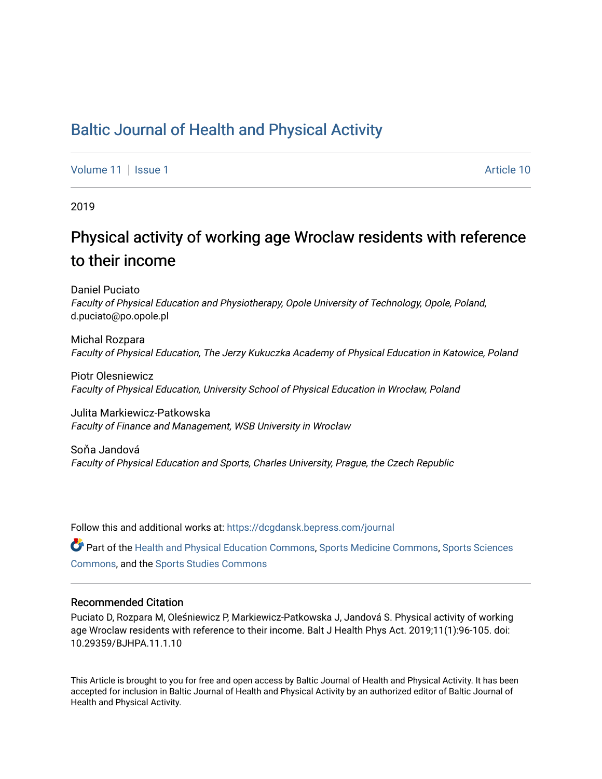## [Baltic Journal of Health and Physical Activity](https://dcgdansk.bepress.com/journal)

[Volume 11](https://dcgdansk.bepress.com/journal/vol11) | [Issue 1](https://dcgdansk.bepress.com/journal/vol11/iss1) Article 10

2019

# Physical activity of working age Wroclaw residents with reference to their income

Daniel Puciato Faculty of Physical Education and Physiotherapy, Opole University of Technology, Opole, Poland, d.puciato@po.opole.pl

Michal Rozpara Faculty of Physical Education, The Jerzy Kukuczka Academy of Physical Education in Katowice, Poland

Piotr Olesniewicz Faculty of Physical Education, University School of Physical Education in Wrocław, Poland

Julita Markiewicz-Patkowska Faculty of Finance and Management, WSB University in Wrocław

Soňa Jandová Faculty of Physical Education and Sports, Charles University, Prague, the Czech Republic

Follow this and additional works at: [https://dcgdansk.bepress.com/journal](https://dcgdansk.bepress.com/journal?utm_source=dcgdansk.bepress.com%2Fjournal%2Fvol11%2Fiss1%2F10&utm_medium=PDF&utm_campaign=PDFCoverPages)

Part of the [Health and Physical Education Commons](http://network.bepress.com/hgg/discipline/1327?utm_source=dcgdansk.bepress.com%2Fjournal%2Fvol11%2Fiss1%2F10&utm_medium=PDF&utm_campaign=PDFCoverPages), [Sports Medicine Commons,](http://network.bepress.com/hgg/discipline/1331?utm_source=dcgdansk.bepress.com%2Fjournal%2Fvol11%2Fiss1%2F10&utm_medium=PDF&utm_campaign=PDFCoverPages) [Sports Sciences](http://network.bepress.com/hgg/discipline/759?utm_source=dcgdansk.bepress.com%2Fjournal%2Fvol11%2Fiss1%2F10&utm_medium=PDF&utm_campaign=PDFCoverPages) [Commons](http://network.bepress.com/hgg/discipline/759?utm_source=dcgdansk.bepress.com%2Fjournal%2Fvol11%2Fiss1%2F10&utm_medium=PDF&utm_campaign=PDFCoverPages), and the [Sports Studies Commons](http://network.bepress.com/hgg/discipline/1198?utm_source=dcgdansk.bepress.com%2Fjournal%2Fvol11%2Fiss1%2F10&utm_medium=PDF&utm_campaign=PDFCoverPages) 

#### Recommended Citation

Puciato D, Rozpara M, Oleśniewicz P, Markiewicz-Patkowska J, Jandová S. Physical activity of working age Wroclaw residents with reference to their income. Balt J Health Phys Act. 2019;11(1):96-105. doi: 10.29359/BJHPA.11.1.10

This Article is brought to you for free and open access by Baltic Journal of Health and Physical Activity. It has been accepted for inclusion in Baltic Journal of Health and Physical Activity by an authorized editor of Baltic Journal of Health and Physical Activity.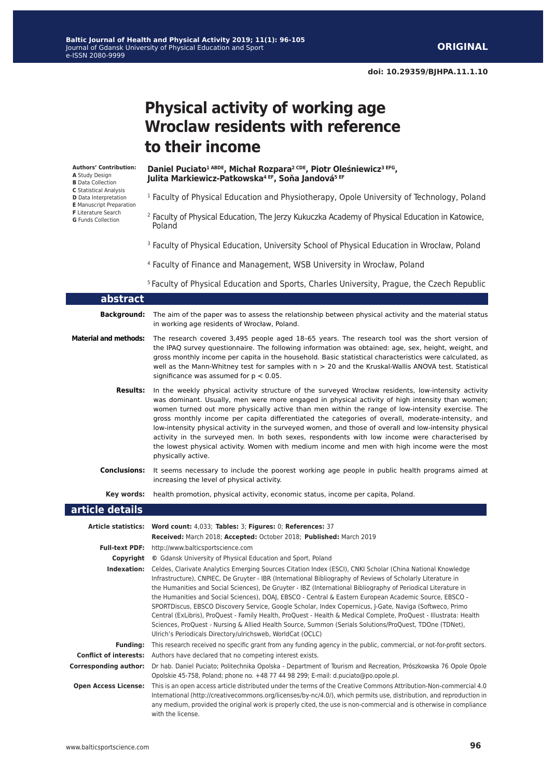**doi: 10.29359/BJHPA.11.1.10**

# **Physical activity of working age Wroclaw residents with reference to their income**

**Authors' Contribution: A** Study Design **B** Data Collection **C** Statistical Analysis **D** Data Interpretation **E** Manuscript Preparation **F** Literature Search

**G** Funds Collection

**Daniel Puciato1 ABDE, Michał Rozpara2 CDE, Piotr Oleśniewicz3 EFG, Julita Markiewicz-Patkowska4 EF, Soňa Jandová5 EF**

- <sup>1</sup> Faculty of Physical Education and Physiotherapy, Opole University of Technology, Poland
- <sup>2</sup> Faculty of Physical Education, The Jerzy Kukuczka Academy of Physical Education in Katowice, Poland
- <sup>3</sup> Faculty of Physical Education, University School of Physical Education in Wrocław, Poland
- <sup>4</sup> Faculty of Finance and Management, WSB University in Wrocław, Poland

<sup>5</sup> Faculty of Physical Education and Sports, Charles University, Prague, the Czech Republic

| abstract                     |                                                                                                                                                                                                                                                                                                                                                                                                                                                                                                                                                                                                                                                                                                                                                                                                                                                                           |
|------------------------------|---------------------------------------------------------------------------------------------------------------------------------------------------------------------------------------------------------------------------------------------------------------------------------------------------------------------------------------------------------------------------------------------------------------------------------------------------------------------------------------------------------------------------------------------------------------------------------------------------------------------------------------------------------------------------------------------------------------------------------------------------------------------------------------------------------------------------------------------------------------------------|
| <b>Background:</b>           | The aim of the paper was to assess the relationship between physical activity and the material status<br>in working age residents of Wrocław, Poland.                                                                                                                                                                                                                                                                                                                                                                                                                                                                                                                                                                                                                                                                                                                     |
| <b>Material and methods:</b> | The research covered 3,495 people aged 18-65 years. The research tool was the short version of<br>the IPAQ survey questionnaire. The following information was obtained: age, sex, height, weight, and<br>gross monthly income per capita in the household. Basic statistical characteristics were calculated, as<br>well as the Mann-Whitney test for samples with $n > 20$ and the Kruskal-Wallis ANOVA test. Statistical<br>significance was assumed for $p < 0.05$ .                                                                                                                                                                                                                                                                                                                                                                                                  |
| <b>Results:</b>              | In the weekly physical activity structure of the surveyed Wrocław residents, low-intensity activity<br>was dominant. Usually, men were more engaged in physical activity of high intensity than women;<br>women turned out more physically active than men within the range of low-intensity exercise. The<br>gross monthly income per capita differentiated the categories of overall, moderate-intensity, and<br>low-intensity physical activity in the surveyed women, and those of overall and low-intensity physical<br>activity in the surveyed men. In both sexes, respondents with low income were characterised by<br>the lowest physical activity. Women with medium income and men with high income were the most<br>physically active.                                                                                                                        |
| <b>Conclusions:</b>          | It seems necessary to include the poorest working age people in public health programs aimed at<br>increasing the level of physical activity.                                                                                                                                                                                                                                                                                                                                                                                                                                                                                                                                                                                                                                                                                                                             |
| Key words:                   | health promotion, physical activity, economic status, income per capita, Poland.                                                                                                                                                                                                                                                                                                                                                                                                                                                                                                                                                                                                                                                                                                                                                                                          |
| article details              |                                                                                                                                                                                                                                                                                                                                                                                                                                                                                                                                                                                                                                                                                                                                                                                                                                                                           |
|                              | Article statistics: Word count: 4,033; Tables: 3; Figures: 0; References: 37                                                                                                                                                                                                                                                                                                                                                                                                                                                                                                                                                                                                                                                                                                                                                                                              |
|                              | Received: March 2018; Accepted: October 2018; Published: March 2019                                                                                                                                                                                                                                                                                                                                                                                                                                                                                                                                                                                                                                                                                                                                                                                                       |
|                              | Full-text PDF: http://www.balticsportscience.com                                                                                                                                                                                                                                                                                                                                                                                                                                                                                                                                                                                                                                                                                                                                                                                                                          |
|                              | <b>Copyright</b> © Gdansk University of Physical Education and Sport, Poland                                                                                                                                                                                                                                                                                                                                                                                                                                                                                                                                                                                                                                                                                                                                                                                              |
|                              | Indexation: Celdes, Clarivate Analytics Emerging Sources Citation Index (ESCI), CNKI Scholar (China National Knowledge<br>Infrastructure), CNPIEC, De Gruyter - IBR (International Bibliography of Reviews of Scholarly Literature in<br>the Humanities and Social Sciences), De Gruyter - IBZ (International Bibliography of Periodical Literature in<br>the Humanities and Social Sciences), DOAJ, EBSCO - Central & Eastern European Academic Source, EBSCO -<br>SPORTDiscus, EBSCO Discovery Service, Google Scholar, Index Copernicus, J-Gate, Naviga (Softweco, Primo<br>Central (ExLibris), ProQuest - Family Health, ProQuest - Health & Medical Complete, ProQuest - Illustrata: Health<br>Sciences, ProQuest - Nursing & Allied Health Source, Summon (Serials Solutions/ProQuest, TDOne (TDNet),<br>Ulrich's Periodicals Directory/ulrichsweb, WorldCat (OCLC) |
| <b>Funding:</b>              | This research received no specific grant from any funding agency in the public, commercial, or not-for-profit sectors.                                                                                                                                                                                                                                                                                                                                                                                                                                                                                                                                                                                                                                                                                                                                                    |
|                              | <b>Conflict of interests:</b> Authors have declared that no competing interest exists.                                                                                                                                                                                                                                                                                                                                                                                                                                                                                                                                                                                                                                                                                                                                                                                    |
|                              | Corresponding author: Dr hab. Daniel Puciato; Politechnika Opolska - Department of Tourism and Recreation, Prószkowska 76 Opole Opole<br>Opolskie 45-758, Poland; phone no. +48 77 44 98 299; E-mail: d.puciato@po.opole.pl.                                                                                                                                                                                                                                                                                                                                                                                                                                                                                                                                                                                                                                              |
| <b>Open Access License:</b>  | This is an open access article distributed under the terms of the Creative Commons Attribution-Non-commercial 4.0<br>International (http://creativecommons.org/licenses/by-nc/4.0/), which permits use, distribution, and reproduction in<br>any medium, provided the original work is properly cited, the use is non-commercial and is otherwise in compliance<br>with the license.                                                                                                                                                                                                                                                                                                                                                                                                                                                                                      |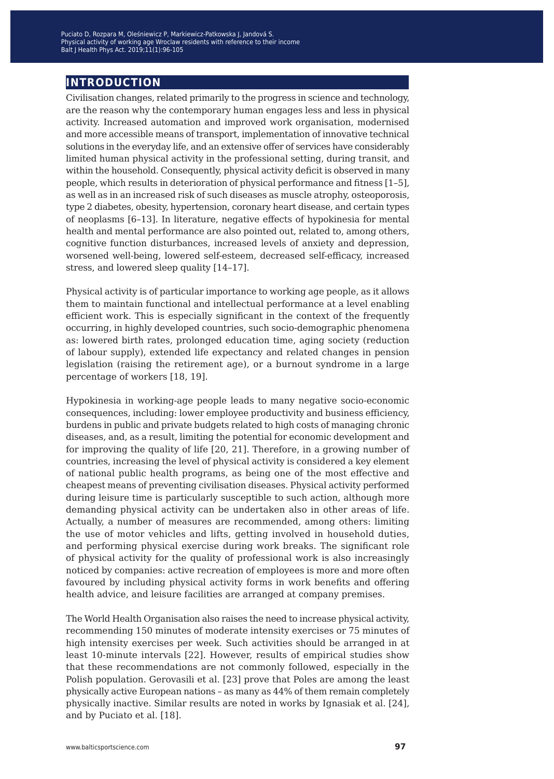### **introduction**

Civilisation changes, related primarily to the progress in science and technology, are the reason why the contemporary human engages less and less in physical activity. Increased automation and improved work organisation, modernised and more accessible means of transport, implementation of innovative technical solutions in the everyday life, and an extensive offer of services have considerably limited human physical activity in the professional setting, during transit, and within the household. Consequently, physical activity deficit is observed in many people, which results in deterioration of physical performance and fitness [1–5], as well as in an increased risk of such diseases as muscle atrophy, osteoporosis, type 2 diabetes, obesity, hypertension, coronary heart disease, and certain types of neoplasms [6–13]. In literature, negative effects of hypokinesia for mental health and mental performance are also pointed out, related to, among others, cognitive function disturbances, increased levels of anxiety and depression, worsened well-being, lowered self-esteem, decreased self-efficacy, increased stress, and lowered sleep quality [14–17].

Physical activity is of particular importance to working age people, as it allows them to maintain functional and intellectual performance at a level enabling efficient work. This is especially significant in the context of the frequently occurring, in highly developed countries, such socio-demographic phenomena as: lowered birth rates, prolonged education time, aging society (reduction of labour supply), extended life expectancy and related changes in pension legislation (raising the retirement age), or a burnout syndrome in a large percentage of workers [18, 19].

Hypokinesia in working-age people leads to many negative socio-economic consequences, including: lower employee productivity and business efficiency, burdens in public and private budgets related to high costs of managing chronic diseases, and, as a result, limiting the potential for economic development and for improving the quality of life [20, 21]. Therefore, in a growing number of countries, increasing the level of physical activity is considered a key element of national public health programs, as being one of the most effective and cheapest means of preventing civilisation diseases. Physical activity performed during leisure time is particularly susceptible to such action, although more demanding physical activity can be undertaken also in other areas of life. Actually, a number of measures are recommended, among others: limiting the use of motor vehicles and lifts, getting involved in household duties, and performing physical exercise during work breaks. The significant role of physical activity for the quality of professional work is also increasingly noticed by companies: active recreation of employees is more and more often favoured by including physical activity forms in work benefits and offering health advice, and leisure facilities are arranged at company premises.

The World Health Organisation also raises the need to increase physical activity, recommending 150 minutes of moderate intensity exercises or 75 minutes of high intensity exercises per week. Such activities should be arranged in at least 10-minute intervals [22]. However, results of empirical studies show that these recommendations are not commonly followed, especially in the Polish population. Gerovasili et al. [23] prove that Poles are among the least physically active European nations – as many as 44% of them remain completely physically inactive. Similar results are noted in works by Ignasiak et al. [24], and by Puciato et al. [18].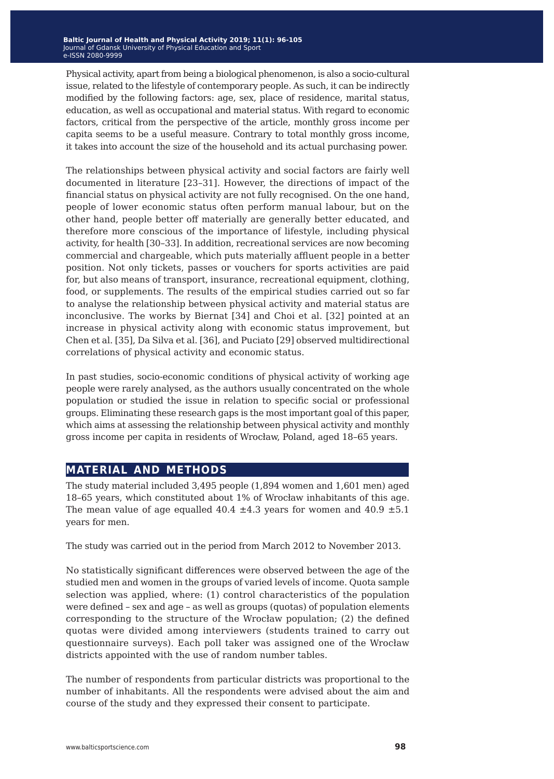Physical activity, apart from being a biological phenomenon, is also a socio-cultural issue, related to the lifestyle of contemporary people. As such, it can be indirectly modified by the following factors: age, sex, place of residence, marital status, education, as well as occupational and material status. With regard to economic factors, critical from the perspective of the article, monthly gross income per capita seems to be a useful measure. Contrary to total monthly gross income, it takes into account the size of the household and its actual purchasing power.

The relationships between physical activity and social factors are fairly well documented in literature [23–31]. However, the directions of impact of the financial status on physical activity are not fully recognised. On the one hand, people of lower economic status often perform manual labour, but on the other hand, people better off materially are generally better educated, and therefore more conscious of the importance of lifestyle, including physical activity, for health [30–33]. In addition, recreational services are now becoming commercial and chargeable, which puts materially affluent people in a better position. Not only tickets, passes or vouchers for sports activities are paid for, but also means of transport, insurance, recreational equipment, clothing, food, or supplements. The results of the empirical studies carried out so far to analyse the relationship between physical activity and material status are inconclusive. The works by Biernat [34] and Choi et al. [32] pointed at an increase in physical activity along with economic status improvement, but Chen et al. [35], Da Silva et al. [36], and Puciato [29] observed multidirectional correlations of physical activity and economic status.

In past studies, socio-economic conditions of physical activity of working age people were rarely analysed, as the authors usually concentrated on the whole population or studied the issue in relation to specific social or professional groups. Eliminating these research gaps is the most important goal of this paper, which aims at assessing the relationship between physical activity and monthly gross income per capita in residents of Wrocław, Poland, aged 18–65 years.

### **material and methods**

The study material included 3,495 people (1,894 women and 1,601 men) aged 18–65 years, which constituted about 1% of Wrocław inhabitants of this age. The mean value of age equalled  $40.4 \pm 4.3$  years for women and  $40.9 \pm 5.1$ years for men.

The study was carried out in the period from March 2012 to November 2013.

No statistically significant differences were observed between the age of the studied men and women in the groups of varied levels of income. Quota sample selection was applied, where: (1) control characteristics of the population were defined – sex and age – as well as groups (quotas) of population elements corresponding to the structure of the Wrocław population; (2) the defined quotas were divided among interviewers (students trained to carry out questionnaire surveys). Each poll taker was assigned one of the Wrocław districts appointed with the use of random number tables.

The number of respondents from particular districts was proportional to the number of inhabitants. All the respondents were advised about the aim and course of the study and they expressed their consent to participate.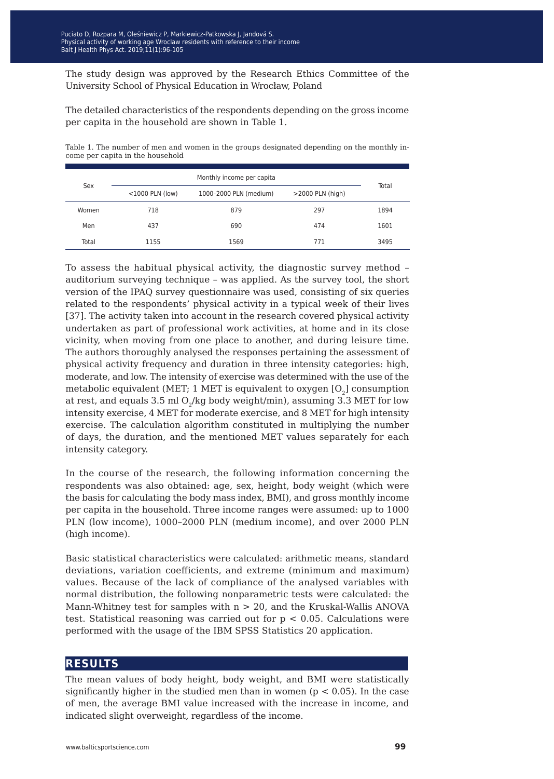The study design was approved by the Research Ethics Committee of the University School of Physical Education in Wrocław, Poland

The detailed characteristics of the respondents depending on the gross income per capita in the household are shown in Table 1.

Table 1. The number of men and women in the groups designated depending on the monthly income per capita in the household

| Sex   |                    | Total                                         |     |      |
|-------|--------------------|-----------------------------------------------|-----|------|
|       | $<$ 1000 PLN (low) | 1000-2000 PLN (medium)<br>$>$ 2000 PLN (high) |     |      |
| Women | 718                | 879                                           | 297 | 1894 |
| Men   | 437                | 690                                           | 474 | 1601 |
| Total | 1155               | 1569                                          | 771 | 3495 |

To assess the habitual physical activity, the diagnostic survey method – auditorium surveying technique – was applied. As the survey tool, the short version of the IPAQ survey questionnaire was used, consisting of six queries related to the respondents' physical activity in a typical week of their lives [37]. The activity taken into account in the research covered physical activity undertaken as part of professional work activities, at home and in its close vicinity, when moving from one place to another, and during leisure time. The authors thoroughly analysed the responses pertaining the assessment of physical activity frequency and duration in three intensity categories: high, moderate, and low. The intensity of exercise was determined with the use of the metabolic equivalent (MET; 1 MET is equivalent to oxygen  $[O_2]$  consumption at rest, and equals 3.5 ml  $O<sub>2</sub>/kg$  body weight/min), assuming 3.3 MET for low intensity exercise, 4 MET for moderate exercise, and 8 MET for high intensity exercise. The calculation algorithm constituted in multiplying the number of days, the duration, and the mentioned MET values separately for each intensity category.

In the course of the research, the following information concerning the respondents was also obtained: age, sex, height, body weight (which were the basis for calculating the body mass index, BMI), and gross monthly income per capita in the household. Three income ranges were assumed: up to 1000 PLN (low income), 1000–2000 PLN (medium income), and over 2000 PLN (high income).

Basic statistical characteristics were calculated: arithmetic means, standard deviations, variation coefficients, and extreme (minimum and maximum) values. Because of the lack of compliance of the analysed variables with normal distribution, the following nonparametric tests were calculated: the Mann-Whitney test for samples with  $n > 20$ , and the Kruskal-Wallis ANOVA test. Statistical reasoning was carried out for  $p < 0.05$ . Calculations were performed with the usage of the IBM SPSS Statistics 20 application.

### **results**

The mean values of body height, body weight, and BMI were statistically significantly higher in the studied men than in women ( $p < 0.05$ ). In the case of men, the average BMI value increased with the increase in income, and indicated slight overweight, regardless of the income.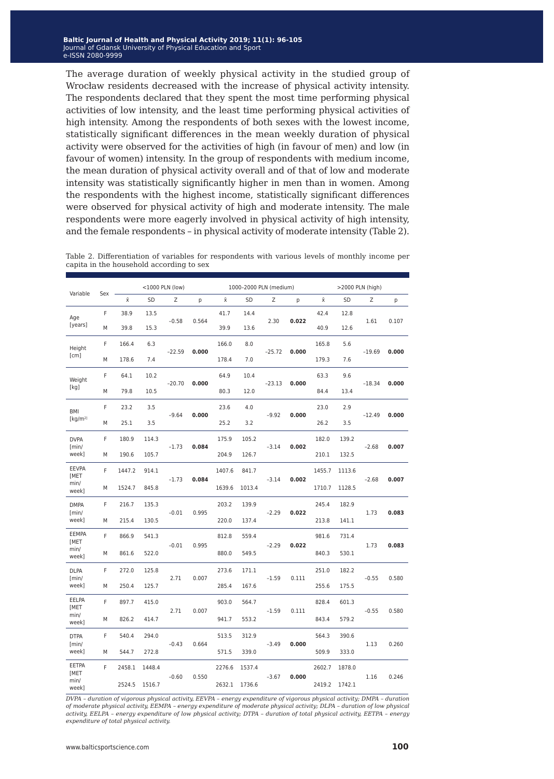The average duration of weekly physical activity in the studied group of Wrocław residents decreased with the increase of physical activity intensity. The respondents declared that they spent the most time performing physical activities of low intensity, and the least time performing physical activities of high intensity. Among the respondents of both sexes with the lowest income, statistically significant differences in the mean weekly duration of physical activity were observed for the activities of high (in favour of men) and low (in favour of women) intensity. In the group of respondents with medium income, the mean duration of physical activity overall and of that of low and moderate intensity was statistically significantly higher in men than in women. Among the respondents with the highest income, statistically significant differences were observed for physical activity of high and moderate intensity. The male respondents were more eagerly involved in physical activity of high intensity, and the female respondents – in physical activity of moderate intensity (Table 2).

| Table 2. Differentiation of variables for respondents with various levels of monthly income per |  |  |  |  |  |
|-------------------------------------------------------------------------------------------------|--|--|--|--|--|
| capita in the household according to sex                                                        |  |  |  |  |  |

| Variable                                    |      |           |        | <1000 PLN (low) |       |        | 1000-2000 PLN (medium) |          |                | >2000 PLN (high) |        |          |       |
|---------------------------------------------|------|-----------|--------|-----------------|-------|--------|------------------------|----------|----------------|------------------|--------|----------|-------|
|                                             | Sex  | $\bar{x}$ | SD     | Z               | p     | Χī     | SD                     | Z        | p              | Ÿ.               | SD     | Z        | p     |
| F<br>Age                                    | 38.9 | 13.5      |        |                 | 41.7  | 14.4   |                        |          | 42.4           | 12.8             |        |          |       |
| [years]                                     | M    | 39.8      | 15.3   | $-0.58$         | 0.564 | 39.9   | 13.6                   | 2.30     | 0.022          | 40.9             | 12.6   | 1.61     | 0.107 |
| Height                                      | F    | 166.4     | 6.3    |                 |       | 166.0  | 8.0                    |          |                | 165.8            | 5.6    | $-19.69$ |       |
| [cm]                                        | M    | 178.6     | 7.4    | $-22.59$        | 0.000 | 178.4  | 7.0                    | $-25.72$ | 0.000          | 179.3            | 7.6    |          | 0.000 |
| Weight                                      | F    | 64.1      | 10.2   | $-20.70$        | 0.000 | 64.9   | 10.4                   | $-23.13$ | 0.000          | 63.3             | 9.6    | $-18.34$ | 0.000 |
| [kg]                                        | М    | 79.8      | 10.5   |                 |       | 80.3   | 12.0                   |          |                | 84.4             | 13.4   |          |       |
| BMI                                         | F    | 23.2      | 3.5    | $-9.64$         | 0.000 | 23.6   | 4.0                    | $-9.92$  | 0.000          | 23.0             | 2.9    | $-12.49$ | 0.000 |
| $\left[\frac{\text{kg}}{\text{m}^2}\right]$ | M    | 25.1      | 3.5    |                 |       | 25.2   | 3.2                    |          |                | 26.2             | 3.5    |          |       |
| <b>DVPA</b>                                 | F    | 180.9     | 114.3  |                 |       | 175.9  | 105.2                  |          |                | 182.0            | 139.2  | $-2.68$  |       |
| $\lceil \text{min} / \rceil$<br>week]       | M    | 190.6     | 105.7  | $-1.73$         | 0.084 | 204.9  | 126.7                  | $-3.14$  | 0.002          | 210.1            | 132.5  |          | 0.007 |
| <b>EEVPA</b><br><b>IMET</b>                 | F    | 1447.2    | 914.1  |                 |       | 1407.6 | 841.7                  |          |                | 1455.7           | 1113.6 | $-2.68$  |       |
| min/<br>week]                               | М    | 1524.7    | 845.8  | $-1.73$         | 0.084 | 1639.6 | 1013.4                 | $-3.14$  | 0.002          | 1710.7           | 1128.5 |          | 0.007 |
| <b>DMPA</b>                                 | F    | 216.7     | 135.3  |                 |       | 203.2  | 139.9                  |          |                | 245.4            | 182.9  |          |       |
| [min/<br>week]                              | М    | 215.4     | 130.5  | $-0.01$         | 0.995 | 220.0  | 137.4                  | $-2.29$  | 0.022          | 213.8            | 141.1  | 1.73     | 0.083 |
| <b>EEMPA</b><br>[MET                        | F    | 866.9     | 541.3  |                 |       | 812.8  | 559.4                  |          |                | 981.6            | 731.4  |          |       |
| min/<br>week]                               | М    | 861.6     | 522.0  | $-0.01$         | 0.995 | 880.0  | 549.5                  | $-2.29$  | 0.022          | 840.3            | 530.1  | 1.73     | 0.083 |
| <b>DLPA</b><br>$\lceil \text{min} / \rceil$ | F    | 272.0     | 125.8  | 2.71            | 0.007 | 273.6  | 171.1                  |          |                | 251.0            | 182.2  |          |       |
| week]                                       | М    | 250.4     | 125.7  |                 |       | 285.4  | 167.6                  | $-1.59$  | 0.111          | 255.6            | 175.5  | $-0.55$  | 0.580 |
| EELPA<br><b>IMET</b>                        | F    | 897.7     | 415.0  |                 |       | 903.0  | 564.7                  | $-1.59$  |                | 828.4            | 601.3  |          |       |
| min/<br>week]                               | M    | 826.2     | 414.7  | 2.71            | 0.007 | 941.7  | 553.2                  |          | 0.111<br>843.4 |                  | 579.2  | $-0.55$  | 0.580 |
| <b>DTPA</b>                                 | F    | 540.4     | 294.0  |                 |       | 513.5  | 312.9                  | $-3.49$  |                | 564.3            | 390.6  | 1.13     |       |
| [min/<br>week]                              | М    | 544.7     | 272.8  | $-0.43$         | 0.664 | 571.5  | 339.0                  |          | 0.000          | 509.9            | 333.0  |          | 0.260 |
| EETPA<br><b>IMET</b>                        | F    | 2458.1    | 1448.4 |                 |       | 2276.6 | 1537.4                 |          |                | 2602.7           | 1878.0 |          |       |
| min/<br>week]                               |      | 2524.5    | 1516.7 | $-0.60$         | 0.550 | 2632.1 | 1736.6                 | $-3.67$  | 0.000          | 2419.2           | 1742.1 | 1.16     | 0.246 |

*DVPA – duration of vigorous physical activity, EEVPA – energy expenditure of vigorous physical activity; DMPA – duration of moderate physical activity, EEMPA – energy expenditure of moderate physical activity; DLPA – duration of low physical activity, EELPA – energy expenditure of low physical activity; DTPA – duration of total physical activity, EETPA – energy expenditure of total physical activity.*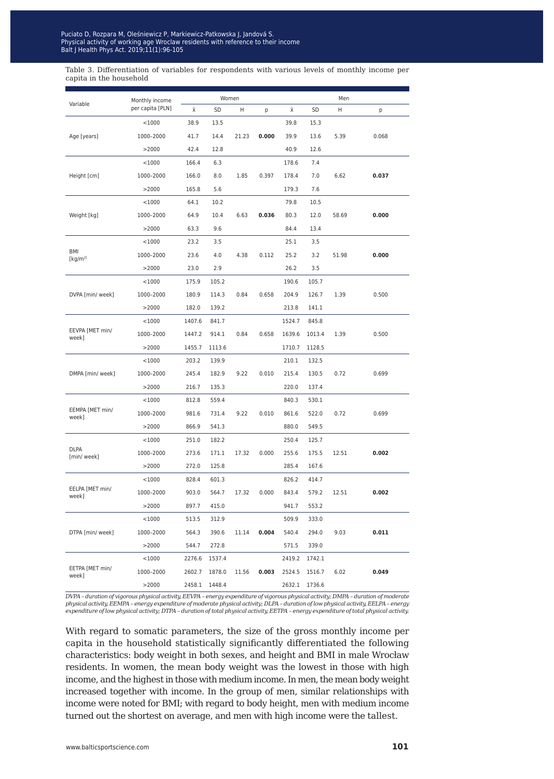Table 3. Differentiation of variables for respondents with various levels of monthly income per capita in the household

|                             | Monthly income   | Women  |        |       |       | Men    |               |       |       |
|-----------------------------|------------------|--------|--------|-------|-------|--------|---------------|-------|-------|
| Variable                    | per capita [PLN] | Χ      | SD     | н     | р     | Χ      | SD            | Н     | р     |
|                             | $<$ 1000         | 38.9   | 13.5   |       |       | 39.8   | 15.3          |       |       |
| Age [years]                 | 1000-2000        | 41.7   | 14.4   | 21.23 | 0.000 | 39.9   | 13.6          | 5.39  | 0.068 |
|                             | >2000            | 42.4   | 12.8   |       |       | 40.9   | 12.6          |       |       |
|                             | $<$ 1000         | 166.4  | 6.3    |       |       | 178.6  | 7.4           |       |       |
| Height [cm]                 | 1000-2000        | 166.0  | 8.0    | 1.85  | 0.397 | 178.4  | 7.0           | 6.62  | 0.037 |
|                             | >2000            | 165.8  | 5.6    |       |       | 179.3  | 7.6           |       |       |
|                             | $<$ 1000         | 64.1   | 10.2   |       |       | 79.8   | 10.5          |       |       |
| Weight [kg]                 | 1000-2000        | 64.9   | 10.4   | 6.63  | 0.036 | 80.3   | 12.0          | 58.69 | 0.000 |
|                             | >2000            | 63.3   | 9.6    |       |       | 84.4   | 13.4          |       |       |
|                             | $<$ 1000         | 23.2   | 3.5    |       |       | 25.1   | 3.5           |       |       |
| BMI<br>[kg/m <sup>2</sup> ] | 1000-2000        | 23.6   | 4.0    | 4.38  | 0.112 | 25.2   | 3.2           | 51.98 | 0.000 |
|                             | >2000            | 23.0   | 2.9    |       |       | 26.2   | 3.5           |       |       |
|                             | $<$ 1000         | 175.9  | 105.2  |       |       | 190.6  | 105.7         |       |       |
| DVPA [min/ week]            | 1000-2000        | 180.9  | 114.3  | 0.84  | 0.658 | 204.9  | 126.7         | 1.39  | 0.500 |
|                             | >2000            | 182.0  | 139.2  |       |       | 213.8  | 141.1         |       |       |
|                             | $<$ 1000         | 1407.6 | 841.7  |       |       | 1524.7 | 845.8         |       |       |
| EEVPA [MET min/<br>week]    | 1000-2000        | 1447.2 | 914.1  | 0.84  | 0.658 | 1639.6 | 1013.4        | 1.39  | 0.500 |
|                             | >2000            | 1455.7 | 1113.6 |       |       | 1710.7 | 1128.5        |       |       |
|                             | $<$ 1000         | 203.2  | 139.9  |       |       | 210.1  | 132.5         |       |       |
| DMPA [min/ week]            | 1000-2000        | 245.4  | 182.9  | 9.22  | 0.010 | 215.4  | 130.5         | 0.72  | 0.699 |
|                             | >2000            | 216.7  | 135.3  |       |       | 220.0  | 137.4         |       |       |
|                             | $<$ 1000         | 812.8  | 559.4  |       |       | 840.3  | 530.1         |       |       |
| EEMPA [MET min/<br>week]    | 1000-2000        | 981.6  | 731.4  | 9.22  | 0.010 | 861.6  | 522.0         | 0.72  | 0.699 |
|                             | >2000            | 866.9  | 541.3  |       |       | 880.0  | 549.5         |       |       |
|                             | $<$ 1000         | 251.0  | 182.2  |       |       | 250.4  | 125.7         |       |       |
| <b>DLPA</b><br>[min/ week]  | 1000-2000        | 273.6  | 171.1  | 17.32 | 0.000 | 255.6  | 175.5         | 12.51 | 0.002 |
|                             | >2000            | 272.0  | 125.8  |       |       | 285.4  | 167.6         |       |       |
|                             | $<$ 1000         | 828.4  | 601.3  |       |       | 826.2  | 414.7         |       |       |
| EELPA [MET min/<br>week]    | 1000-2000        | 903.0  | 564.7  | 17.32 | 0.000 | 843.4  | 579.2         | 12.51 | 0.002 |
|                             | >2000            | 897.7  | 415.0  |       |       | 941.7  | 553.2         |       |       |
| DTPA [min/ week]            | $<$ 1000         | 513.5  | 312.9  |       |       | 509.9  | 333.0         |       |       |
|                             | 1000-2000        | 564.3  | 390.6  | 11.14 | 0.004 | 540.4  | 294.0         | 9.03  | 0.011 |
|                             | >2000            | 544.7  | 272.8  |       |       | 571.5  | 339.0         |       |       |
|                             | $<$ 1000         | 2276.6 | 1537.4 |       |       | 2419.2 | 1742.1        |       |       |
| EETPA [MET min/<br>week]    | 1000-2000        | 2602.7 | 1878.0 | 11.56 | 0.003 | 2524.5 | 1516.7        | 6.02  | 0.049 |
|                             | >2000            | 2458.1 | 1448.4 |       |       |        | 2632.1 1736.6 |       |       |

*DVPA – duration of vigorous physical activity, EEVPA – energy expenditure of vigorous physical activity; DMPA – duration of moderate physical activity, EEMPA – energy expenditure of moderate physical activity; DLPA – duration of low physical activity, EELPA – energy expenditure of low physical activity; DTPA – duration of total physical activity, EETPA – energy expenditure of total physical activity.*

With regard to somatic parameters, the size of the gross monthly income per capita in the household statistically significantly differentiated the following characteristics: body weight in both sexes, and height and BMI in male Wrocław residents. In women, the mean body weight was the lowest in those with high income, and the highest in those with medium income. In men, the mean body weight increased together with income. In the group of men, similar relationships with income were noted for BMI; with regard to body height, men with medium income turned out the shortest on average, and men with high income were the tallest.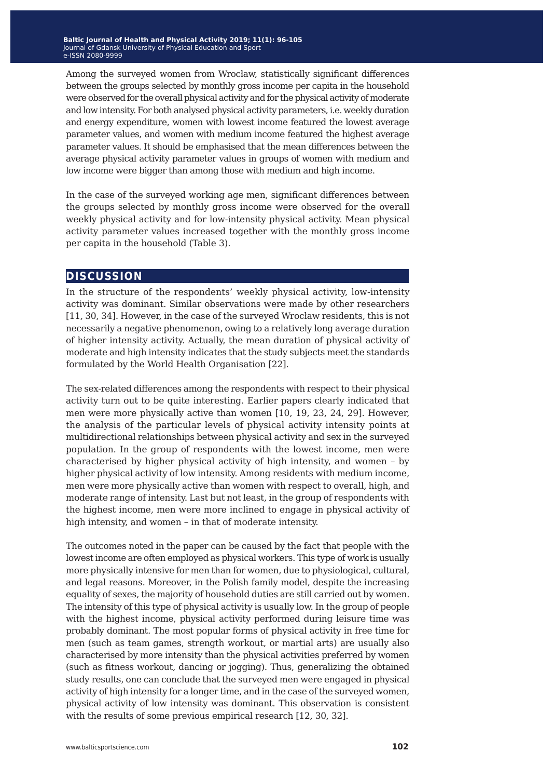Among the surveyed women from Wrocław, statistically significant differences between the groups selected by monthly gross income per capita in the household were observed for the overall physical activity and for the physical activity of moderate and low intensity. For both analysed physical activity parameters, i.e. weekly duration and energy expenditure, women with lowest income featured the lowest average parameter values, and women with medium income featured the highest average parameter values. It should be emphasised that the mean differences between the average physical activity parameter values in groups of women with medium and low income were bigger than among those with medium and high income.

In the case of the surveyed working age men, significant differences between the groups selected by monthly gross income were observed for the overall weekly physical activity and for low-intensity physical activity. Mean physical activity parameter values increased together with the monthly gross income per capita in the household (Table 3).

#### **discussion**

In the structure of the respondents' weekly physical activity, low-intensity activity was dominant. Similar observations were made by other researchers [11, 30, 34]. However, in the case of the surveyed Wrocław residents, this is not necessarily a negative phenomenon, owing to a relatively long average duration of higher intensity activity. Actually, the mean duration of physical activity of moderate and high intensity indicates that the study subjects meet the standards formulated by the World Health Organisation [22].

The sex-related differences among the respondents with respect to their physical activity turn out to be quite interesting. Earlier papers clearly indicated that men were more physically active than women [10, 19, 23, 24, 29]. However, the analysis of the particular levels of physical activity intensity points at multidirectional relationships between physical activity and sex in the surveyed population. In the group of respondents with the lowest income, men were characterised by higher physical activity of high intensity, and women – by higher physical activity of low intensity. Among residents with medium income, men were more physically active than women with respect to overall, high, and moderate range of intensity. Last but not least, in the group of respondents with the highest income, men were more inclined to engage in physical activity of high intensity, and women – in that of moderate intensity.

The outcomes noted in the paper can be caused by the fact that people with the lowest income are often employed as physical workers. This type of work is usually more physically intensive for men than for women, due to physiological, cultural, and legal reasons. Moreover, in the Polish family model, despite the increasing equality of sexes, the majority of household duties are still carried out by women. The intensity of this type of physical activity is usually low. In the group of people with the highest income, physical activity performed during leisure time was probably dominant. The most popular forms of physical activity in free time for men (such as team games, strength workout, or martial arts) are usually also characterised by more intensity than the physical activities preferred by women (such as fitness workout, dancing or jogging). Thus, generalizing the obtained study results, one can conclude that the surveyed men were engaged in physical activity of high intensity for a longer time, and in the case of the surveyed women, physical activity of low intensity was dominant. This observation is consistent with the results of some previous empirical research [12, 30, 32].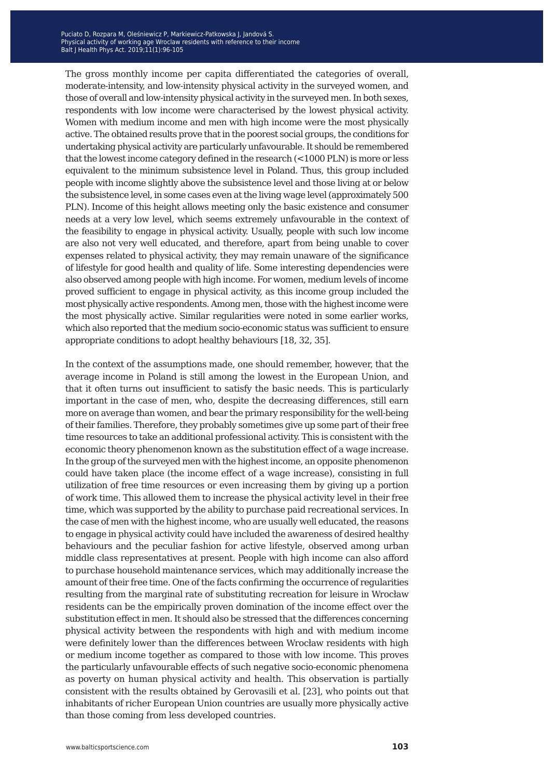The gross monthly income per capita differentiated the categories of overall, moderate-intensity, and low-intensity physical activity in the surveyed women, and those of overall and low-intensity physical activity in the surveyed men. In both sexes, respondents with low income were characterised by the lowest physical activity. Women with medium income and men with high income were the most physically active. The obtained results prove that in the poorest social groups, the conditions for undertaking physical activity are particularly unfavourable. It should be remembered that the lowest income category defined in the research (<1000 PLN) is more or less equivalent to the minimum subsistence level in Poland. Thus, this group included people with income slightly above the subsistence level and those living at or below the subsistence level, in some cases even at the living wage level (approximately 500 PLN). Income of this height allows meeting only the basic existence and consumer needs at a very low level, which seems extremely unfavourable in the context of the feasibility to engage in physical activity. Usually, people with such low income are also not very well educated, and therefore, apart from being unable to cover expenses related to physical activity, they may remain unaware of the significance of lifestyle for good health and quality of life. Some interesting dependencies were also observed among people with high income. For women, medium levels of income proved sufficient to engage in physical activity, as this income group included the most physically active respondents. Among men, those with the highest income were the most physically active. Similar regularities were noted in some earlier works, which also reported that the medium socio-economic status was sufficient to ensure appropriate conditions to adopt healthy behaviours [18, 32, 35].

In the context of the assumptions made, one should remember, however, that the average income in Poland is still among the lowest in the European Union, and that it often turns out insufficient to satisfy the basic needs. This is particularly important in the case of men, who, despite the decreasing differences, still earn more on average than women, and bear the primary responsibility for the well-being of their families. Therefore, they probably sometimes give up some part of their free time resources to take an additional professional activity. This is consistent with the economic theory phenomenon known as the substitution effect of a wage increase. In the group of the surveyed men with the highest income, an opposite phenomenon could have taken place (the income effect of a wage increase), consisting in full utilization of free time resources or even increasing them by giving up a portion of work time. This allowed them to increase the physical activity level in their free time, which was supported by the ability to purchase paid recreational services. In the case of men with the highest income, who are usually well educated, the reasons to engage in physical activity could have included the awareness of desired healthy behaviours and the peculiar fashion for active lifestyle, observed among urban middle class representatives at present. People with high income can also afford to purchase household maintenance services, which may additionally increase the amount of their free time. One of the facts confirming the occurrence of regularities resulting from the marginal rate of substituting recreation for leisure in Wrocław residents can be the empirically proven domination of the income effect over the substitution effect in men. It should also be stressed that the differences concerning physical activity between the respondents with high and with medium income were definitely lower than the differences between Wrocław residents with high or medium income together as compared to those with low income. This proves the particularly unfavourable effects of such negative socio-economic phenomena as poverty on human physical activity and health. This observation is partially consistent with the results obtained by Gerovasili et al. [23], who points out that inhabitants of richer European Union countries are usually more physically active than those coming from less developed countries.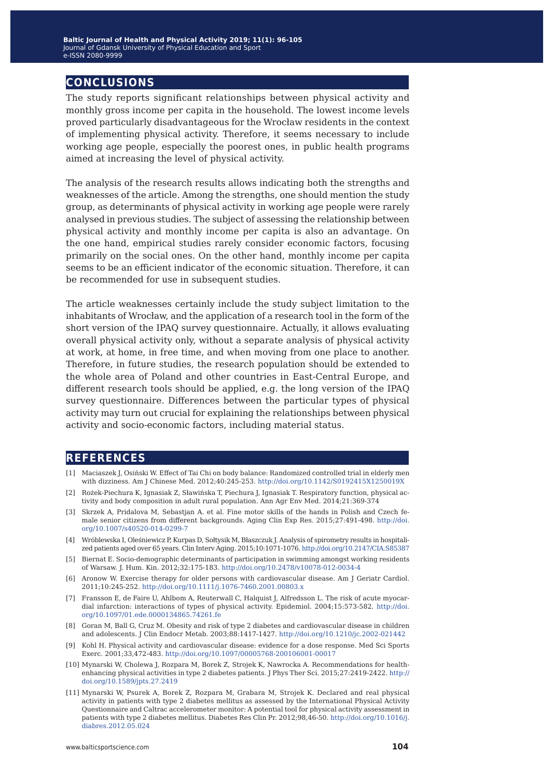### **conclusions**

The study reports significant relationships between physical activity and monthly gross income per capita in the household. The lowest income levels proved particularly disadvantageous for the Wrocław residents in the context of implementing physical activity. Therefore, it seems necessary to include working age people, especially the poorest ones, in public health programs aimed at increasing the level of physical activity.

The analysis of the research results allows indicating both the strengths and weaknesses of the article. Among the strengths, one should mention the study group, as determinants of physical activity in working age people were rarely analysed in previous studies. The subject of assessing the relationship between physical activity and monthly income per capita is also an advantage. On the one hand, empirical studies rarely consider economic factors, focusing primarily on the social ones. On the other hand, monthly income per capita seems to be an efficient indicator of the economic situation. Therefore, it can be recommended for use in subsequent studies.

The article weaknesses certainly include the study subject limitation to the inhabitants of Wrocław, and the application of a research tool in the form of the short version of the IPAQ survey questionnaire. Actually, it allows evaluating overall physical activity only, without a separate analysis of physical activity at work, at home, in free time, and when moving from one place to another. Therefore, in future studies, the research population should be extended to the whole area of Poland and other countries in East-Central Europe, and different research tools should be applied, e.g. the long version of the IPAQ survey questionnaire. Differences between the particular types of physical activity may turn out crucial for explaining the relationships between physical activity and socio-economic factors, including material status.

#### **references**

- [1] Maciaszek J, Osiński W. Effect of Tai Chi on body balance: Randomized controlled trial in elderly men with dizziness. Am J Chinese Med. 2012;40:245-253.<http://doi.org/10.1142/S0192415X1250019X>
- [2] Rożek-Piechura K, Ignasiak Z, Sławińska T, Piechura J, Ignasiak T. Respiratory function, physical activity and body composition in adult rural population. Ann Agr Env Med. 2014;21:369-374
- [3] Skrzek A, Pridalova M, Sebastjan A. et al. Fine motor skills of the hands in Polish and Czech female senior citizens from different backgrounds. Aging Clin Exp Res. 2015;27:491-498. [http://doi.](http://doi.org/10.1007/s40520-014-0299-7) [org/10.1007/s40520-014-0299-7](http://doi.org/10.1007/s40520-014-0299-7)
- [4] Wróblewska I, Oleśniewicz P, Kurpas D, Sołtysik M, Błaszczuk J. Analysis of spirometry results in hospitalized patients aged over 65 years. Clin Interv Aging. 2015;10:1071-1076.<http://doi.org/10.2147/CIA.S85387>
- [5] Biernat E. Socio-demographic determinants of participation in swimming amongst working residents of Warsaw. J. Hum. Kin. 2012;32:175-183.<http://doi.org/10.2478/v10078-012-0034-4>
- [6] Aronow W. Exercise therapy for older persons with cardiovascular disease. Am J Geriatr Cardiol. 2011;10:245-252. <http://doi.org/10.1111/j.1076-7460.2001.00803.x>
- [7] Fransson E, de Faire U, Ahlbom A, Reuterwall C, Halquist J, Alfredsson L. The risk of acute myocardial infarction: interactions of types of physical activity. Epidemiol. 2004;15:573-582. [http://doi.](http://doi.org/10.1097/01.ede.0000134865.74261.fe) [org/10.1097/01.ede.0000134865.74261.fe](http://doi.org/10.1097/01.ede.0000134865.74261.fe)
- [8] Goran M, Ball G, Cruz M. Obesity and risk of type 2 diabetes and cardiovascular disease in children and adolescents. J Clin Endocr Metab. 2003;88:1417-1427.<http://doi.org/10.1210/jc.2002-021442>
- [9] Kohl H. Physical activity and cardiovascular disease: evidence for a dose response. Med Sci Sports Exerc. 2001;33,472-483. <http://doi.org/10.1097/00005768-200106001-00017>
- [10] Mynarski W, Cholewa J, Rozpara M, Borek Z, Strojek K, Nawrocka A. Recommendations for healthenhancing physical activities in type 2 diabetes patients. J Phys Ther Sci. 2015;27:2419-2422. [http://](http://doi.org/10.1589/jpts.27.2419) [doi.org/10.1589/jpts.27.2419](http://doi.org/10.1589/jpts.27.2419)
- [11] Mynarski W, Psurek A, Borek Z, Rozpara M, Grabara M, Strojek K. Declared and real physical activity in patients with type 2 diabetes mellitus as assessed by the International Physical Activity Questionnaire and Caltrac accelerometer monitor: A potential tool for physical activity assessment in patients with type 2 diabetes mellitus. Diabetes Res Clin Pr. 2012;98,46-50. [http://doi.org/10.1016/j.](http://doi.org/10.1016/j.diabres.2012.05.024) [diabres.2012.05.024](http://doi.org/10.1016/j.diabres.2012.05.024)